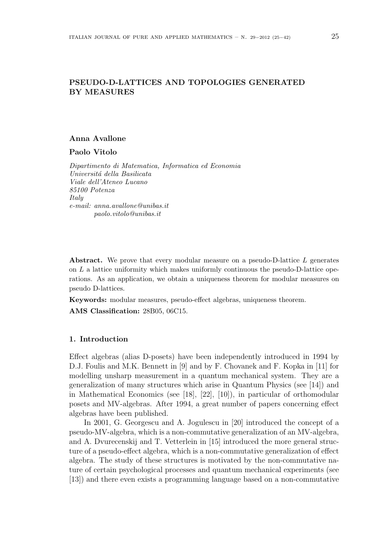# PSEUDO-D-LATTICES AND TOPOLOGIES GENERATED BY MEASURES

## Anna Avallone

Paolo Vitolo

Dipartimento di Matematica, Informatica ed Economia Universitá della Basilicata Viale dell'Ateneo Lucano 85100 Potenza **Italy** e-mail: anna.avallone@unibas.it paolo.vitolo@unibas.it

Abstract. We prove that every modular measure on a pseudo-D-lattice L generates on  $L$  a lattice uniformity which makes uniformly continuous the pseudo-D-lattice operations. As an application, we obtain a uniqueness theorem for modular measures on pseudo D-lattices.

Keywords: modular measures, pseudo-effect algebras, uniqueness theorem.

AMS Classification: 28B05, 06C15.

## 1. Introduction

Effect algebras (alias D-posets) have been independently introduced in 1994 by D.J. Foulis and M.K. Bennett in [9] and by F. Chovanek and F. Kopka in [11] for modelling unsharp measurement in a quantum mechanical system. They are a generalization of many structures which arise in Quantum Physics (see [14]) and in Mathematical Economics (see [18], [22], [10]), in particular of orthomodular posets and MV-algebras. After 1994, a great number of papers concerning effect algebras have been published.

In 2001, G. Georgescu and A. Jogulescu in [20] introduced the concept of a pseudo-MV-algebra, which is a non-commutative generalization of an MV-algebra, and A. Dvurecenskij and T. Vetterlein in [15] introduced the more general structure of a pseudo-effect algebra, which is a non-commutative generalization of effect algebra. The study of these structures is motivated by the non-commutative nature of certain psychological processes and quantum mechanical experiments (see [13]) and there even exists a programming language based on a non-commutative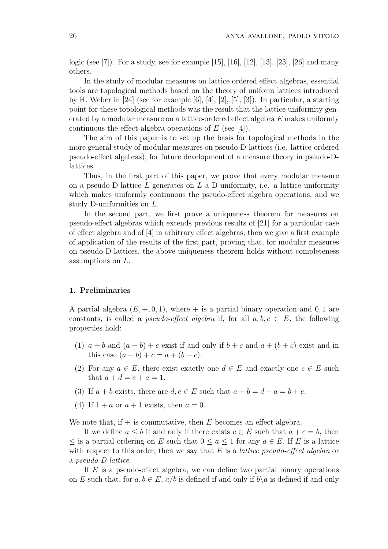logic (see [7]). For a study, see for example [15], [16], [12], [13], [23], [26] and many others.

In the study of modular measures on lattice ordered effect algebras, essential tools are topological methods based on the theory of uniform lattices introduced by H. Weber in  $[24]$  (see for example  $[6]$ ,  $[4]$ ,  $[2]$ ,  $[5]$ ,  $[3]$ ). In particular, a starting point for these topological methods was the result that the lattice uniformity generated by a modular measure on a lattice-ordered effect algebra E makes uniformly continuous the effect algebra operations of  $E$  (see [4]).

The aim of this paper is to set up the basis for topological methods in the more general study of modular measures on pseudo-D-lattices (i.e. lattice-ordered pseudo-effect algebras), for future development of a measure theory in pseudo-Dlattices.

Thus, in the first part of this paper, we prove that every modular measure on a pseudo-D-lattice  $L$  generates on  $L$  a D-uniformity, i.e. a lattice uniformity which makes uniformly continuous the pseudo-effect algebra operations, and we study D-uniformities on L.

In the second part, we first prove a uniqueness theorem for measures on pseudo-effect algebras which extends previous results of [21] for a particular case of effect algebra and of [4] in arbitrary effect algebras; then we give a first example of application of the results of the first part, proving that, for modular measures on pseudo-D-lattices, the above uniqueness theorem holds without completeness assumptions on L.

## 1. Preliminaries

A partial algebra  $(E, +, 0, 1)$ , where  $+$  is a partial binary operation and 0, 1 are constants, is called a *pseudo-effect algebra* if, for all  $a, b, c \in E$ , the following properties hold:

- (1)  $a + b$  and  $(a + b) + c$  exist if and only if  $b + c$  and  $a + (b + c)$  exist and in this case  $(a + b) + c = a + (b + c)$ .
- (2) For any  $a \in E$ , there exist exactly one  $d \in E$  and exactly one  $e \in E$  such that  $a + d = e + a = 1$ .
- (3) If  $a + b$  exists, there are  $d, e \in E$  such that  $a + b = d + a = b + e$ .
- (4) If  $1 + a$  or  $a + 1$  exists, then  $a = 0$ .

We note that, if  $+$  is commutative, then E becomes an effect algebra.

If we define  $a \leq b$  if and only if there exists  $c \in E$  such that  $a + c = b$ , then  $\leq$  is a partial ordering on E such that  $0 \leq a \leq 1$  for any  $a \in E$ . If E is a lattice with respect to this order, then we say that  $E$  is a *lattice pseudo-effect algebra* or a pseudo-D-lattice.

If  $E$  is a pseudo-effect algebra, we can define two partial binary operations on E such that, for  $a, b \in E$ ,  $a/b$  is defined if and only if  $b\setminus a$  is defined if and only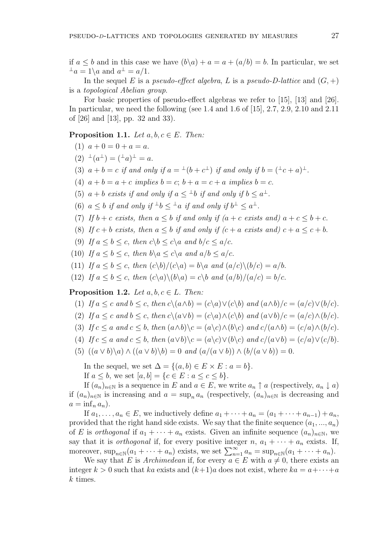if  $a \leq b$  and in this case we have  $(b\backslash a) + a = a + (a/b) = b$ . In particular, we set  $\perp a = 1$ \a and  $a^{\perp} = a/1$ .

In the sequel E is a pseudo-effect algebra, L is a pseudo-D-lattice and  $(G, +)$ is a topological Abelian group.

For basic properties of pseudo-effect algebras we refer to [15], [13] and [26]. In particular, we need the following (see 1.4 and 1.6 of [15], 2.7, 2.9, 2.10 and 2.11 of [26] and [13], pp. 32 and 33).

**Proposition 1.1.** Let  $a, b, c \in E$ . Then:

(1)  $a + 0 = 0 + a = a$ .

- $(2)$   $\perp(a^{\perp}) = (\perp a)^{\perp} = a.$
- (3)  $a + b = c$  if and only if  $a = \pm (b + c^{\perp})$  if and only if  $b = (\pm c + a)^{\perp}$ .

(4)  $a + b = a + c$  implies  $b = c$ ;  $b + a = c + a$  implies  $b = c$ .

(5)  $a + b$  exists if and only if  $a \leq {}^{\perp}b$  if and only if  $b \leq a^{\perp}$ .

(6)  $a \leq b$  if and only if  $\pm b \leq \pm a$  if and only if  $b^{\perp} \leq a^{\perp}$ .

- (7) If  $b + c$  exists, then  $a \leq b$  if and only if  $(a + c$  exists and)  $a + c \leq b + c$ .
- (8) If  $c + b$  exists, then  $a \leq b$  if and only if  $(c + a$  exists and)  $c + a \leq c + b$ .
- (9) If  $a \leq b \leq c$ , then  $c \backslash b \leq c \backslash a$  and  $b/c \leq a/c$ .
- (10) If  $a \le b \le c$ , then  $b \setminus a \le c \setminus a$  and  $a/b \le a/c$ .

(11) If  $a < b < c$ , then  $(c\backslash b)/(c\backslash a) = b\backslash a$  and  $(a/c)\backslash (b/c) = a/b$ .

(12) If  $a \leq b \leq c$ , then  $(c\backslash a)\backslash (b\backslash a) = c\backslash b$  and  $(a/b)/(a/c) = b/c$ .

**Proposition 1.2.** Let  $a, b, c \in L$ . Then:

- (1) If  $a \leq c$  and  $b \leq c$ , then  $c \setminus (a \wedge b) = (c \setminus a) \vee (c \setminus b)$  and  $(a \wedge b) / c = (a/c) \vee (b/c)$ .
- (2) If  $a \leq c$  and  $b \leq c$ , then  $c \setminus (a \vee b) = (c \setminus a) \wedge (c \setminus b)$  and  $(a \vee b)/c = (a/c) \wedge (b/c)$ .
- (3) If  $c \le a$  and  $c \le b$ , then  $(a \wedge b) \wedge c = (a \wedge c) \wedge (b \wedge c)$  and  $c/(a \wedge b) = (c/a) \wedge (b/c)$ .
- (4) If  $c \le a$  and  $c \le b$ , then  $(a \vee b) \vee c = (a \vee c) \vee (b \vee c)$  and  $c/(a \vee b) = (c/a) \vee (c/b)$ .
- (5)  $((a \vee b)\backslash a) \wedge ((a \vee b)\backslash b) = 0$  and  $(a/(a \vee b)) \wedge (b/(a \vee b)) = 0$ .

In the sequel, we set  $\Delta = \{(a, b) \in E \times E : a = b\}.$ 

If  $a \leq b$ , we set  $[a, b] = \{c \in E : a \leq c \leq b\}.$ 

If  $(a_n)_{n\in\mathbb{N}}$  is a sequence in E and  $a \in E$ , we write  $a_n \uparrow a$  (respectively,  $a_n \downarrow a$ ) if  $(a_n)_{n\in\mathbb{N}}$  is increasing and  $a = \sup_n a_n$  (respectively,  $(a_n)_{n\in\mathbb{N}}$  is decreasing and  $a = \inf_n a_n$ ).

If  $a_1, \ldots, a_n \in E$ , we inductively define  $a_1 + \cdots + a_n = (a_1 + \cdots + a_{n-1}) + a_n$ , provided that the right hand side exists. We say that the finite sequence  $(a_1, ..., a_n)$ of E is *orthogonal* if  $a_1 + \cdots + a_n$  exists. Given an infinite sequence  $(a_n)_{n\in\mathbb{N}}$ , we say that it is *orthogonal* if, for every positive integer  $n, a_1 + \cdots + a_n$  exists. If, say that it is *orthogonal* ii, for every positive integer  $n$ ,  $a_1 + \cdots + a_n$  exists. In moreover,  $\sup_{n \in \mathbb{N}} (a_1 + \cdots + a_n)$  exists, we set  $\sum_{n=1}^{\infty} a_n = \sup_{n \in \mathbb{N}} (a_1 + \cdots + a_n)$ .

We say that E is Archimedean if, for every  $a \in E$  with  $a \neq 0$ , there exists an integer  $k > 0$  such that ka exists and  $(k+1)a$  does not exist, where  $ka = a + \cdots + a$ k times.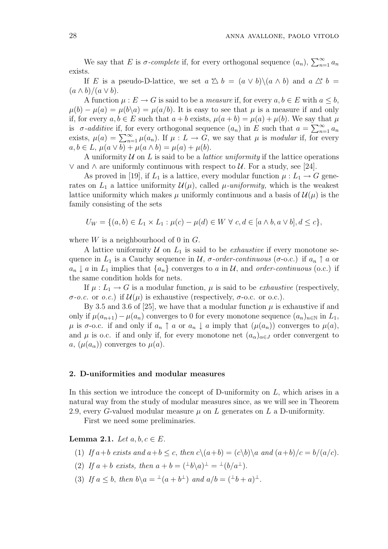We say that E is  $\sigma$ -complete if, for every orthogonal sequence  $(a_n)$ ,  $\sum_{n=1}^{\infty}$  $\sum_{n=1}^{\infty} a_n$ exists.

If E is a pseudo-D-lattice, we set  $a \triangle b = (a \vee b) \setminus (a \wedge b)$  and  $a \triangle^* b =$  $(a \wedge b)/(a \vee b).$ 

A function  $\mu : E \to G$  is said to be a *measure* if, for every  $a, b \in E$  with  $a \leq b$ ,  $\mu(b) - \mu(a) = \mu(b\backslash a) = \mu(a/b)$ . It is easy to see that  $\mu$  is a measure if and only if, for every  $a, b \in E$  such that  $a + b$  exists,  $\mu(a + b) = \mu(a) + \mu(b)$ . We say that  $\mu$ if it is  $\sigma$ -additive if, for every orthogonal sequence  $(a_n)$  in E such that  $a = \sum_{n=1}^{\infty} a_n$  $\sum_{n=1}^{\infty} a_n$ is *o*-*additive* ii, for every orthogonal sequence  $(a_n)$  in E such that  $a = \sum_{n=1}^{\infty} a_n$ <br>exists,  $\mu(a) = \sum_{n=1}^{\infty} \mu(a_n)$ . If  $\mu : L \to G$ , we say that  $\mu$  is *modular* if, for every  $a, b \in L$ ,  $\mu(a \vee b) + \mu(a \wedge b) = \mu(a) + \mu(b)$ .

A uniformity  $\mathcal U$  on  $L$  is said to be a *lattice uniformity* if the lattice operations  $∨$  and ∧ are uniformly continuous with respect to  $U$ . For a study, see [24].

As proved in [19], if  $L_1$  is a lattice, every modular function  $\mu: L_1 \to G$  generates on  $L_1$  a lattice uniformity  $\mathcal{U}(\mu)$ , called  $\mu$ -uniformity, which is the weakest lattice uniformity which makes  $\mu$  uniformly continuous and a basis of  $\mathcal{U}(\mu)$  is the family consisting of the sets

$$
U_W = \{(a, b) \in L_1 \times L_1 : \mu(c) - \mu(d) \in W \ \forall \ c, d \in [a \land b, a \lor b], d \le c\},\
$$

where  $W$  is a neighbourhood of 0 in  $G$ .

A lattice uniformity  $U$  on  $L_1$  is said to be *exhaustive* if every monotone sequence in  $L_1$  is a Cauchy sequence in  $\mathcal{U}$ ,  $\sigma$ -order-continuous ( $\sigma$ -o.c.) if  $a_n \uparrow a$  or  $a_n \downarrow a$  in  $L_1$  implies that  $\{a_n\}$  converges to a in U, and order-continuous (o.c.) if the same condition holds for nets.

If  $\mu: L_1 \to G$  is a modular function,  $\mu$  is said to be *exhaustive* (respectively,  $\sigma$ -o.c. or o.c.) if  $\mathcal{U}(\mu)$  is exhaustive (respectively,  $\sigma$ -o.c. or o.c.).

By 3.5 and 3.6 of [25], we have that a modular function  $\mu$  is exhaustive if and only if  $\mu(a_{n+1}) - \mu(a_n)$  converges to 0 for every monotone sequence  $(a_n)_{n \in \mathbb{N}}$  in  $L_1$ ,  $\mu$  is  $\sigma$ -o.c. if and only if  $a_n \uparrow a$  or  $a_n \downarrow a$  imply that  $(\mu(a_n))$  converges to  $\mu(a)$ , and  $\mu$  is o.c. if and only if, for every monotone net  $(a_{\alpha})_{\alpha \in J}$  order convergent to a,  $(\mu(a_{\alpha}))$  converges to  $\mu(a)$ .

## 2. D-uniformities and modular measures

In this section we introduce the concept of D-uniformity on  $L$ , which arises in a natural way from the study of modular measures since, as we will see in Theorem 2.9, every G-valued modular measure  $\mu$  on L generates on L a D-uniformity.

First we need some preliminaries.

Lemma 2.1. Let  $a, b, c \in E$ .

(1) If 
$$
a+b
$$
 exists and  $a+b \leq c$ , then  $c \setminus (a+b) = (c \setminus b) \setminus a$  and  $(a+b)/c = b/(a/c)$ .

- (2) If  $a + b$  exists, then  $a + b = (\pm b\backslash a)^{\perp} = \pm (b/a^{\perp}).$
- (3) If  $a \leq b$ , then  $b \setminus a = {}^{\perp}(a + b^{\perp})$  and  $a/b = ({}^{\perp}b + a)^{\perp}$ .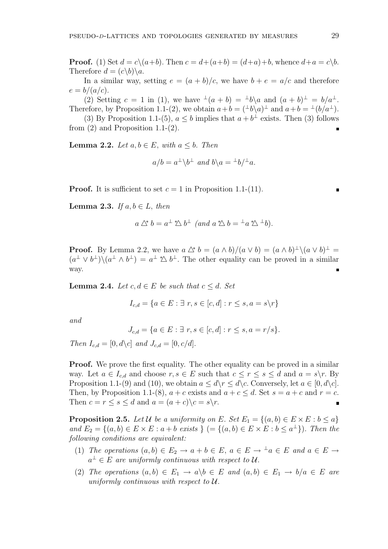**Proof.** (1) Set  $d = c \setminus (a+b)$ . Then  $c = d + (a+b) = (d+a)+b$ , whence  $d+a = c \setminus b$ . Therefore  $d = (c \backslash b) \backslash a$ .

In a similar way, setting  $e = (a + b)/c$ , we have  $b + e = a/c$  and therefore  $e = b/(a/c)$ .

(2) Setting  $c = 1$  in (1), we have  $\pm (a + b) = \pm b\ a$  and  $(a + b)^{\perp} = b/a^{\perp}$ . Therefore, by Proposition 1.1-(2), we obtain  $a+b = (\pm b\lambda a)^{\perp}$  and  $a+b = \pm (b/a^{\perp})$ .

(3) By Proposition 1.1-(5),  $a \leq b$  implies that  $a + b^{\perp}$  exists. Then (3) follows from  $(2)$  and Proposition 1.1- $(2)$ .

**Lemma 2.2.** Let  $a, b \in E$ , with  $a \leq b$ . Then

$$
a/b = a^{\perp} \backslash b^{\perp}
$$
 and  $b \backslash a = {}^{\perp}b/{}^{\perp}a$ .

**Proof.** It is sufficient to set  $c = 1$  in Proposition 1.1-(11).

**Lemma 2.3.** If  $a, b \in L$ , then

$$
a \bigtriangleup^* b = a^{\perp} \bigtriangleup b^{\perp} \ (and \ a \bigtriangleup b = {}^{\perp} a \bigtriangleup {}^{\perp} b).
$$

**Proof.** By Lemma 2.2, we have  $a \triangle^* b = (a \wedge b)/(a \vee b) = (a \wedge b)^{\perp} \setminus (a \vee b)^{\perp} =$  $(a^{\perp} \vee b^{\perp}) \setminus (a^{\perp} \wedge b^{\perp}) = a^{\perp} \triangle b^{\perp}$ . The other equality can be proved in a similar way.

**Lemma 2.4.** Let  $c, d \in E$  be such that  $c \leq d$ . Set

$$
I_{c,d} = \{a \in E : \exists r, s \in [c,d] : r \le s, a = s \backslash r\}
$$

and

$$
J_{c,d} = \{ a \in E : \exists r, s \in [c,d] : r \le s, a = r/s \}.
$$

Then  $I_{c,d} = [0, d \backslash c]$  and  $J_{c,d} = [0, c/d]$ .

**Proof.** We prove the first equality. The other equality can be proved in a similar way. Let  $a \in I_{c,d}$  and choose  $r, s \in E$  such that  $c \leq r \leq s \leq d$  and  $a = s \backslash r$ . By Proposition 1.1-(9) and (10), we obtain  $a \leq d \rceil \leq d \rceil \cceil$ . Conversely, let  $a \in [0, d \rceil$ . Then, by Proposition 1.1-(8),  $a + c$  exists and  $a + c \leq d$ . Set  $s = a + c$  and  $r = c$ . Then  $c = r \leq s \leq d$  and  $a = (a + c)\c = s\c$ .

**Proposition 2.5.** Let U be a uniformity on E. Set  $E_1 = \{(a, b) \in E \times E : b \leq a\}$ and  $E_2 = \{(a, b) \in E \times E : a + b \text{ exists } \}$   $( = \{(a, b) \in E \times E : b \leq a^{\perp} \})$ . Then the following conditions are equivalent:

- (1) The operations  $(a, b) \in E_2 \to a + b \in E$ ,  $a \in E \to \perp a \in E$  and  $a \in E \to \perp a$  $a^{\perp} \in E$  are uniformly continuous with respect to U.
- (2) The operations  $(a, b) \in E_1 \rightarrow a \backslash b \in E$  and  $(a, b) \in E_1 \rightarrow b/a \in E$  are uniformly continuous with respect to  $U$ .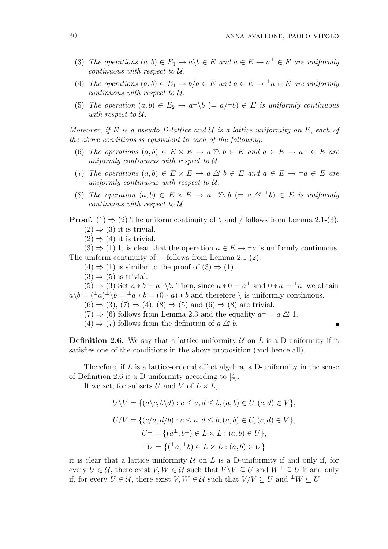- (3) The operations  $(a, b) \in E_1 \to a \backslash b \in E$  and  $a \in E \to a^{\perp} \in E$  are uniformly continuous with respect to U.
- (4) The operations  $(a, b) \in E_1 \to b/a \in E$  and  $a \in E \to \perp a \in E$  are uniformly continuous with respect to U.
- (5) The operation  $(a, b) \in E_2 \to a^{\perp} \backslash b \ (= a^{\perp} b) \in E$  is uniformly continuous with respect to U.

Moreover, if E is a pseudo D-lattice and  $\mathcal U$  is a lattice uniformity on E, each of the above conditions is equivalent to each of the following:

- (6) The operations  $(a, b) \in E \times E \to a \, \triangle b \in E$  and  $a \in E \to a^{\perp} \in E$  are uniformly continuous with respect to  $U$ .
- (7) The operations  $(a, b) \in E \times E \to a \wedge^* b \in E$  and  $a \in E \to \perp a \in E$  are uniformly continuous with respect to U.
- (8) The operation  $(a, b) \in E \times E \to a^{\perp} \triangle b (= a \triangle^{\ast} {}^{\perp} b) \in E$  is uniformly continuous with respect to U.
- **Proof.** (1)  $\Rightarrow$  (2) The uniform continuity of \ and / follows from Lemma 2.1-(3).
	- $(2) \Rightarrow (3)$  it is trivial.
	- $(2) \Rightarrow (4)$  it is trivial.

 $(3) \Rightarrow (1)$  It is clear that the operation  $a \in E \to \perp a$  is uniformly continuous. The uniform continuity of  $+$  follows from Lemma 2.1-(2).

- $(4) \Rightarrow (1)$  is similar to the proof of  $(3) \Rightarrow (1)$ .
- $(3) \Rightarrow (5)$  is trivial.

 $(5) \Rightarrow (3)$  Set  $a * b = a^{\perp} \backslash b$ . Then, since  $a * 0 = a^{\perp}$  and  $0 * a = a^{\perp} a$ , we obtain  $a \backslash b = (\perp a) \perp \backslash b = \perp a * b = (0 * a) * b$  and therefore  $\backslash$  is uniformly continuous.

- $(6) \Rightarrow (3)$ ,  $(7) \Rightarrow (4)$ ,  $(8) \Rightarrow (5)$  and  $(6) \Rightarrow (8)$  are trivial.
- $(7) \Rightarrow (6)$  follows from Lemma 2.3 and the equality  $a^{\perp} = a \triangle^* 1$ .
- $(4) \Rightarrow (7)$  follows from the definition of  $a \triangle^* b$ .

**Definition 2.6.** We say that a lattice uniformity  $U$  on  $L$  is a D-uniformity if it satisfies one of the conditions in the above proposition (and hence all).

Therefore, if  $L$  is a lattice-ordered effect algebra, a D-uniformity in the sense of Definition 2.6 is a D-uniformity according to [4].

If we set, for subsets U and V of  $L \times L$ ,

$$
U \setminus V = \{ (a \setminus c, b \setminus d) : c \le a, d \le b, (a, b) \in U, (c, d) \in V \},
$$
  
\n
$$
U/V = \{ (c/a, d/b) : c \le a, d \le b, (a, b) \in U, (c, d) \in V \},
$$
  
\n
$$
U^{\perp} = \{ (a^{\perp}, b^{\perp}) \in L \times L : (a, b) \in U \},
$$
  
\n
$$
{}^{\perp}U = \{ ({}^{\perp}a, {}^{\perp}b) \in L \times L : (a, b) \in U \}
$$

it is clear that a lattice uniformity  $U$  on L is a D-uniformity if and only if, for every  $U \in \mathcal{U}$ , there exist  $V, W \in \mathcal{U}$  such that  $V \setminus V \subset U$  and  $W^{\perp} \subset U$  if and only if, for every  $U \in \mathcal{U}$ , there exist  $V, W \in \mathcal{U}$  such that  $V/V \subseteq U$  and  $\perp W \subseteq U$ .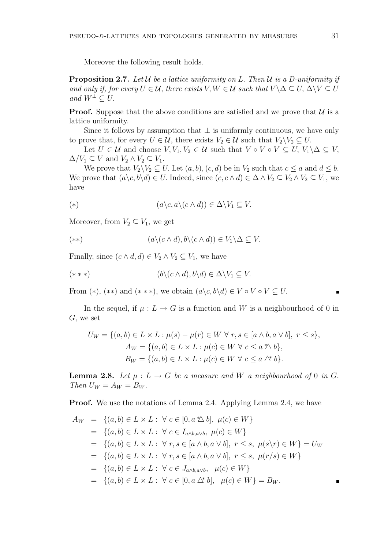Moreover the following result holds.

**Proposition 2.7.** Let U be a lattice uniformity on L. Then U is a D-uniformity if and only if, for every  $U \in \mathcal{U}$ , there exists  $V, W \in \mathcal{U}$  such that  $V \setminus \Delta \subseteq U, \Delta \setminus V \subseteq U$ and  $W^{\perp} \subset U$ .

**Proof.** Suppose that the above conditions are satisfied and we prove that  $\mathcal{U}$  is a lattice uniformity.

Since it follows by assumption that  $\perp$  is uniformly continuous, we have only to prove that, for every  $U \in \mathcal{U}$ , there exists  $V_2 \in \mathcal{U}$  such that  $V_2 \backslash V_2 \subseteq U$ .

Let  $U \in \mathcal{U}$  and choose  $V, V_1, V_2 \in \mathcal{U}$  such that  $V \circ V \circ V \subseteq U, V_1 \setminus \Delta \subseteq V$ ,  $\Delta/V_1 \subseteq V$  and  $V_2 \wedge V_2 \subseteq V_1$ .

We prove that  $V_2\backslash V_2\subseteq U$ . Let  $(a, b), (c, d)$  be in  $V_2$  such that  $c \le a$  and  $d \le b$ . We prove that  $(a\backslash c, b\backslash d) \in U$ . Indeed, since  $(c, c \wedge d) \in \Delta \wedge V_2 \subseteq V_2 \wedge V_2 \subseteq V_1$ , we have

$$
(*)\qquad \qquad (a\backslash c, a\backslash (c\land d))\in \Delta\backslash V_1\subseteq V.
$$

Moreover, from  $V_2 \subseteq V_1$ , we get

$$
(**) \qquad (a \setminus (c \wedge d), b \setminus (c \wedge d)) \in V_1 \setminus \Delta \subseteq V.
$$

Finally, since  $(c \wedge d, d) \in V_2 \wedge V_2 \subseteq V_1$ , we have

$$
(***) \qquad (b \setminus (c \wedge d), b \setminus d) \in \Delta \setminus V_1 \subseteq V.
$$

From  $(*), (**)$  and  $(***),$  we obtain  $(a\< c, b\< d) \in V \circ V \circ V \subseteq U$ .

In the sequel, if  $\mu : L \to G$  is a function and W is a neighbourhood of 0 in G, we set

$$
U_W = \{(a, b) \in L \times L : \mu(s) - \mu(r) \in W \,\forall \, r, s \in [a \wedge b, a \vee b], \ r \le s\},\
$$

$$
A_W = \{(a, b) \in L \times L : \mu(c) \in W \,\forall \, c \le a \,\mathbb{1} \,\forall \, b\},\
$$

$$
B_W = \{(a, b) \in L \times L : \mu(c) \in W \,\forall \, c \le a \,\mathbb{1} \,\forall \, b\}.
$$

**Lemma 2.8.** Let  $\mu : L \to G$  be a measure and W a neighbourhood of 0 in G. Then  $U_W = A_W = B_W$ .

Proof. We use the notations of Lemma 2.4. Applying Lemma 2.4, we have

$$
A_W = \{(a, b) \in L \times L : \forall c \in [0, a \land b], \mu(c) \in W\}
$$
  
=  $\{(a, b) \in L \times L : \forall c \in I_{a \land b, a \lor b}, \mu(c) \in W\}$   
=  $\{(a, b) \in L \times L : \forall r, s \in [a \land b, a \lor b], r \le s, \mu(s \lor r) \in W\} = U_W$   
=  $\{(a, b) \in L \times L : \forall r, s \in [a \land b, a \lor b], r \le s, \mu(r/s) \in W\}$   
=  $\{(a, b) \in L \times L : \forall c \in J_{a \land b, a \lor b}, \mu(c) \in W\}$   
=  $\{(a, b) \in L \times L : \forall c \in [0, a \land b], \mu(c) \in W\} = B_W.$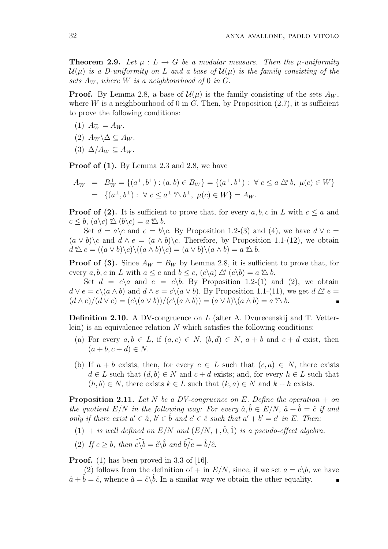**Theorem 2.9.** Let  $\mu : L \to G$  be a modular measure. Then the  $\mu$ -uniformity  $\mathcal{U}(\mu)$  is a D-uniformity on L and a base of  $\mathcal{U}(\mu)$  is the family consisting of the sets  $A_W$ , where W is a neighbourhood of 0 in G.

**Proof.** By Lemma 2.8, a base of  $\mathcal{U}(\mu)$  is the family consisting of the sets  $A_W$ , where W is a neighbourhood of 0 in G. Then, by Proposition  $(2.7)$ , it is sufficient to prove the following conditions:

- (1)  $A_W^{\perp} = A_W$ .
- (2)  $A_W \backslash \Delta \subseteq A_W$ .
- (3)  $\Delta/A_W \subset A_W$ .

Proof of (1). By Lemma 2.3 and 2.8, we have

$$
A_W^{\perp} = B_W^{\perp} = \{(a^{\perp}, b^{\perp}) : (a, b) \in B_W\} = \{(a^{\perp}, b^{\perp}) : \forall c \le a \triangle^* b, \ \mu(c) \in W\}
$$
  
=  $\{(a^{\perp}, b^{\perp}) : \forall c \le a^{\perp} \triangle b^{\perp}, \ \mu(c) \in W\} = A_W.$ 

**Proof of (2).** It is sufficient to prove that, for every  $a, b, c$  in L with  $c \le a$  and  $c \leq b$ ,  $(a \backslash c) \not\uparrow \searrow (b \backslash c) = a \not\uparrow \searrow b$ .

Set  $d = a \nc$  and  $e = b \nc$ . By Proposition 1.2-(3) and (4), we have  $d \vee e =$  $(a \vee b)\c$  and  $d \wedge e = (a \wedge b)\c$ . Therefore, by Proposition 1.1-(12), we obtain  $d \triangleq e = ((a \vee b) \setminus c) \setminus ((a \wedge b) \setminus c) = (a \vee b) \setminus (a \wedge b) = a \triangleleft b.$ 

**Proof of (3).** Since  $A_W = B_W$  by Lemma 2.8, it is sufficient to prove that, for every  $a, b, c$  in L with  $a \leq c$  and  $b \leq c$ ,  $(c\setminus a) \triangle^{*} (c\setminus b) = a \triangle^{*} b$ .

Set  $d = c \setminus a$  and  $e = c \setminus b$ . By Proposition 1.2-(1) and (2), we obtain  $d \vee e = c \setminus (a \wedge b)$  and  $d \wedge e = c \setminus (a \vee b)$ . By Proposition 1.1-(11), we get  $d \triangle^* e =$  $(d \wedge e)/(d \vee e) = (c \setminus (a \vee b))/(c \setminus (a \wedge b)) = (a \vee b) \setminus (a \wedge b) = a \triangleleft b.$ 

**Definition 2.10.** A DV-congruence on L (after A. Dyurecenskii and T. Vetterlein) is an equivalence relation  $N$  which satisfies the following conditions:

- (a) For every  $a, b \in L$ , if  $(a, c) \in N$ ,  $(b, d) \in N$ ,  $a + b$  and  $c + d$  exist, then  $(a + b, c + d) \in N$ .
- (b) If  $a + b$  exists, then, for every  $c \in L$  such that  $(c, a) \in N$ , there exists  $d \in L$  such that  $(d, b) \in N$  and  $c + d$  exists; and, for every  $h \in L$  such that  $(h, b) \in N$ , there exists  $k \in L$  such that  $(k, a) \in N$  and  $k + h$  exists.

**Proposition 2.11.** Let N be a DV-congruence on E. Define the operation  $+$  on the quotient  $E/N$  in the following way: For every  $\hat{a}, \hat{b} \in E/N$ ,  $\hat{a} + \hat{b} = \hat{c}$  if and only if there exist  $a' \in \hat{a}$ ,  $b' \in \hat{b}$  and  $c' \in \hat{c}$  such that  $a' + b' = c'$  in E. Then:

 $(1)$  + is well defined on  $E/N$  and  $(E/N, +, 0, 1)$  is a pseudo-effect algebra.

(2) If 
$$
c \geq b
$$
, then  $c \widehat{\lambda} b = \widehat{c} \widehat{\lambda} \widehat{b}$  and  $\widehat{b/c} = \widehat{b}/\widehat{c}$ .

**Proof.** (1) has been proved in 3.3 of [16].

(2) follows from the definition of  $+$  in  $E/N$ , since, if we set  $a = c\backslash b$ , we have  $\hat{a} + \hat{b} = \hat{c}$ , whence  $\hat{a} = \hat{c} \backslash \hat{b}$ . In a similar way we obtain the other equality.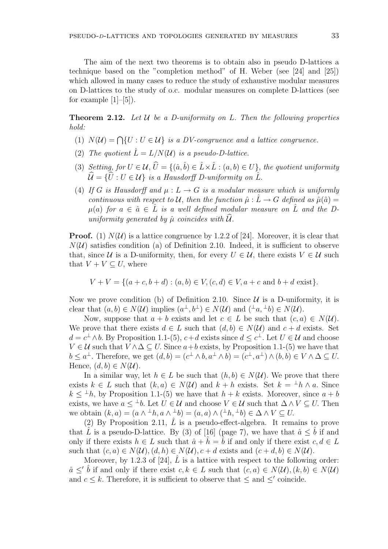The aim of the next two theorems is to obtain also in pseudo D-lattices a technique based on the "completion method" of H. Weber (see [24] and [25]) which allowed in many cases to reduce the study of exhaustive modular measures on D-lattices to the study of o.c. modular measures on complete D-lattices (see for example  $[1]-[5]$ .

**Theorem 2.12.** Let  $\mathcal U$  be a D-uniformity on L. Then the following properties hold:

- (1)  $N(U) = \bigcap \{U : U \in \mathcal{U}\}\$ is a DV-congruence and a lattice congruence.
- (2) The quotient  $\hat{L} = L/N(\mathcal{U})$  is a pseudo-D-lattice.
- (3) Setting, for  $U \in \mathcal{U}, \hat{U} = \{(\hat{a}, \hat{b}) \in \hat{L} \times \hat{L} : (a, b) \in U\}$ , the quotient uniformity  $\widehat{\mathcal{U}} = {\{\widehat{U} : U \in \mathcal{U}\}\ }$  is a Hausdorff D-uniformity on  $\widehat{L}$ .
- (4) If G is Hausdorff and  $\mu : L \to G$  is a modular measure which is uniformly continuous with respect to U, then the function  $\hat{\mu}: L \to G$  defined as  $\hat{\mu}(\hat{a}) =$  $\mu(a)$  for  $a \in \hat{a} \in L$  is a well defined modular measure on L and the Duniformity generated by  $\hat{\mu}$  coincides with  $\mathcal{U}$ .

**Proof.** (1)  $N(U)$  is a lattice congruence by 1.2.2 of [24]. Moreover, it is clear that  $N(\mathcal{U})$  satisfies condition (a) of Definition 2.10. Indeed, it is sufficient to observe that, since U is a D-uniformity, then, for every  $U \in \mathcal{U}$ , there exists  $V \in \mathcal{U}$  such that  $V + V \subseteq U$ , where

$$
V + V = \{(a + c, b + d) : (a, b) \in V, (c, d) \in V, a + c \text{ and } b + d \text{ exist}\}.
$$

Now we prove condition (b) of Definition 2.10. Since  $\mathcal U$  is a D-uniformity, it is clear that  $(a, b) \in N(\mathcal{U})$  implies  $(a^{\perp}, b^{\perp}) \in N(\mathcal{U})$  and  $({}^{\perp}a, {}^{\perp}b) \in N(\mathcal{U})$ .

Now, suppose that  $a + b$  exists and let  $c \in L$  be such that  $(c, a) \in N(\mathcal{U})$ . We prove that there exists  $d \in L$  such that  $(d, b) \in N(\mathcal{U})$  and  $c + d$  exists. Set  $d = c^{\perp} \wedge b$ . By Proposition 1.1-(5),  $c + d$  exists since  $d \leq c^{\perp}$ . Let  $U \in \mathcal{U}$  and choose  $V \in \mathcal{U}$  such that  $V \wedge \Delta \subseteq U$ . Since  $a+b$  exists, by Proposition 1.1-(5) we have that  $b \leq a^{\perp}$ . Therefore, we get  $(d, b) = (c^{\perp} \wedge b, a^{\perp} \wedge b) = (c^{\perp}, a^{\perp}) \wedge (b, b) \in V \wedge \Delta \subseteq U$ . Hence,  $(d, b) \in N(\mathcal{U})$ .

In a similar way, let  $h \in L$  be such that  $(h, b) \in N(U)$ . We prove that there exists  $k \in L$  such that  $(k, a) \in N(\mathcal{U})$  and  $k + h$  exists. Set  $k = {}^{\perp}h \wedge a$ . Since  $k \leq {}^{\perp}h$ , by Proposition 1.1-(5) we have that  $h + k$  exists. Moreover, since  $a + b$ exists, we have  $a \leq b$ . Let  $U \in \mathcal{U}$  and choose  $V \in \mathcal{U}$  such that  $\Delta \wedge V \subseteq U$ . Then we obtain  $(k, a) = (a \wedge^{\perp} h, a \wedge^{\perp} b) = (a, a) \wedge (\perp h, \perp b) \in \Delta \wedge V \subseteq U$ .

(2) By Proposition 2.11,  $\tilde{L}$  is a pseudo-effect-algebra. It remains to prove that L is a pseudo-D-lattice. By (3) of [16] (page 7), we have that  $\hat{a} \leq b$  if and only if there exists  $h \in L$  such that  $\hat{a} + h = b$  if and only if there exist  $c, d \in L$ such that  $(c, a) \in N(\mathcal{U}), (d, h) \in N(\mathcal{U}), c + d$  exists and  $(c + d, b) \in N(\mathcal{U}).$ 

Moreover, by 1.2.3 of [24],  $\hat{L}$  is a lattice with respect to the following order:  $\hat{a} \leq b$  if and only if there exist  $c, k \in L$  such that  $(c, a) \in N(\mathcal{U}), (k, b) \in N(\mathcal{U})$ and  $c \leq k$ . Therefore, it is sufficient to observe that  $\leq$  and  $\leq'$  coincide.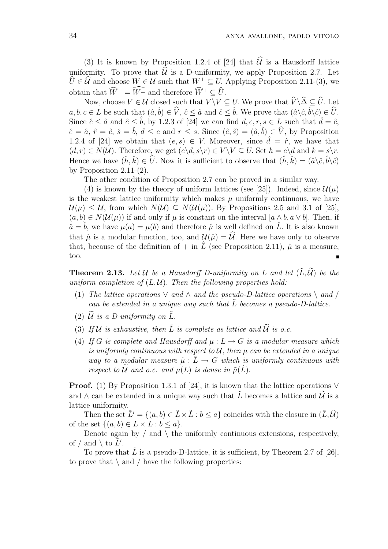(3) It is known by Proposition 1.2.4 of [24] that  $\hat{\mathcal{U}}$  is a Hausdorff lattice uniformity. To prove that  $\hat{\mathcal{U}}$  is a D-uniformity, we apply Proposition 2.7. Let  $\hat{U} \in \hat{\mathcal{U}}$  and choose  $W \in \mathcal{U}$  such that  $W^{\perp} \subseteq U$ . Applying Proposition 2.11-(3), we obtain that  $\widehat{W}^{\perp} = \widehat{W^{\perp}}$  and therefore  $\widehat{W}^{\perp} \subset \widehat{U}$ .

Now, choose  $V \in \mathcal{U}$  closed such that  $V \setminus V \subseteq U$ . We prove that  $\widehat{V} \setminus \widehat{\Delta} \subseteq \widehat{U}$ . Let  $a, b, c \in L$  be such that  $(\hat{a}, \hat{b}) \in \hat{V}$ ,  $\hat{c} \leq \hat{a}$  and  $\hat{c} \leq \hat{b}$ . We prove that  $(\hat{a} \backslash \hat{c}, \hat{b} \backslash \hat{c}) \in \hat{U}$ . Since  $\hat{c} \leq \hat{a}$  and  $\hat{c} \leq \hat{b}$ , by 1.2.3 of [24] we can find  $d, e, r, s \in L$  such that  $\hat{d} = \hat{c}$ ,  $\hat{e} = \hat{a}, \, \hat{r} = \hat{c}, \, \hat{s} = \hat{b}, \, d \leq e \text{ and } r \leq s.$  Since  $(\hat{e}, \hat{s}) = (\hat{a}, \hat{b}) \in \hat{V}$ , by Proposition 1.2.4 of [24] we obtain that  $(e, s) \in V$ . Moreover, since  $\hat{d} = \hat{r}$ , we have that  $(d, r) \in N(\mathcal{U})$ . Therefore, we get  $(e \setminus d, s \setminus r) \in V \setminus V \subseteq U$ . Set  $h = e \setminus d$  and  $k = s \setminus r$ . Hence we have  $(\hat{h}, \hat{k}) \in \hat{U}$ . Now it is sufficient to observe that  $(\hat{h}, \hat{k}) = (\hat{a}\langle \hat{c}, \hat{b}\rangle \hat{c})$ by Proposition  $2.11-(2)$ .

The other condition of Proposition 2.7 can be proved in a similar way.

(4) is known by the theory of uniform lattices (see [25]). Indeed, since  $\mathcal{U}(\mu)$ is the weakest lattice uniformity which makes  $\mu$  uniformly continuous, we have  $\mathcal{U}(\mu) \leq \mathcal{U}$ , from which  $N(\mathcal{U}) \subseteq N(\mathcal{U}(\mu))$ . By Propositions 2.5 and 3.1 of [25],  $(a, b) \in N(\mathcal{U}(\mu))$  if and only if  $\mu$  is constant on the interval  $[a \wedge b, a \vee b]$ . Then, if  $\hat{a} = \hat{b}$ , we have  $\mu(a) = \mu(b)$  and therefore  $\hat{\mu}$  is well defined on  $\hat{L}$ . It is also known that  $\hat{\mu}$  is a modular function, too, and  $\mathcal{U}(\hat{\mu}) = \hat{\mathcal{U}}$ . Here we have only to observe that, because of the definition of  $+$  in  $\hat{L}$  (see Proposition 2.11),  $\hat{\mu}$  is a measure, too.

**Theorem 2.13.** Let U be a Hausdorff D-uniformity on L and let  $(\tilde{L}, \tilde{\mathcal{U}})$  be the uniform completion of  $(L, \mathcal{U})$ . Then the following properties hold:

- (1) The lattice operations  $\vee$  and  $\wedge$  and the pseudo-D-lattice operations  $\setminus$  and / can be extended in a unique way such that  $\tilde{L}$  becomes a pseudo-D-lattice.
- (2)  $\tilde{U}$  is a D-uniformity on  $\tilde{L}$ .
- (3) If U is exhaustive, then  $\tilde{L}$  is complete as lattice and  $\tilde{U}$  is o.c.
- (4) If G is complete and Hausdorff and  $\mu : L \to G$  is a modular measure which is uniformly continuous with respect to  $\mathcal{U}$ , then  $\mu$  can be extended in a unique way to a modular measure  $\tilde{\mu}: L \to G$  which is uniformly continuous with respect to  $\widetilde{U}$  and o.c. and  $\mu(L)$  is dense in  $\widetilde{\mu}(\widetilde{L})$ .

**Proof.** (1) By Proposition 1.3.1 of [24], it is known that the lattice operations  $\vee$ and  $\wedge$  can be extended in a unique way such that  $\tilde{L}$  becomes a lattice and  $\tilde{\mathcal{U}}$  is a lattice uniformity.

Then the set  $\tilde{L}' = \{(a, b) \in \tilde{L} \times \tilde{L} : b \leq a\}$  coincides with the closure in  $(\tilde{L}, \tilde{U})$ of the set  $\{(a, b) \in L \times L : b \leq a\}.$ 

Denote again by  $/$  and  $\setminus$  the uniformly continuous extensions, respectively, of / and \ to  $\tilde{L}'$ .

To prove that  $\tilde{L}$  is a pseudo-D-lattice, it is sufficient, by Theorem 2.7 of [26], to prove that  $\setminus$  and / have the following properties: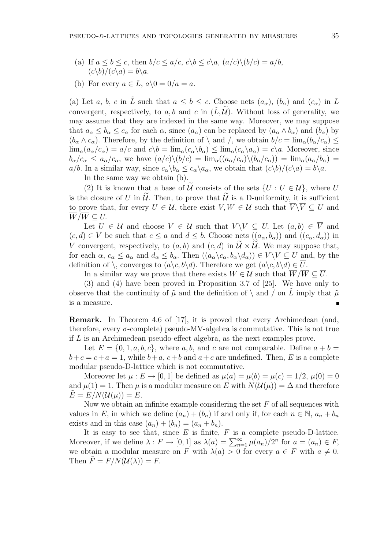- (a) If  $a \le b \le c$ , then  $b/c \le a/c$ ,  $c\backslash b \le c\backslash a$ ,  $(a/c)\backslash (b/c) = a/b$ ,  $(c\backslash b)/(c\backslash a) = b\backslash a.$
- (b) For every  $a \in L$ ,  $a \setminus 0 = 0/a = a$ .

(a) Let a, b, c in L such that  $a \leq b \leq c$ . Choose nets  $(a_{\alpha})$ ,  $(b_{\alpha})$  and  $(c_{\alpha})$  in L convergent, respectively, to a, b and c in  $(L, \mathcal{U})$ . Without loss of generality, we may assume that they are indexed in the same way. Moreover, we may suppose that  $a_{\alpha} \leq b_{\alpha} \leq c_{\alpha}$  for each  $\alpha$ , since  $(a_{\alpha})$  can be replaced by  $(a_{\alpha} \wedge b_{\alpha})$  and  $(b_{\alpha})$  by  $(b_\alpha \wedge c_\alpha)$ . Therefore, by the definition of  $\setminus$  and  $\setminus$ , we obtain  $b/c = \lim_{\alpha} (b_\alpha/c_\alpha) \le$  $\lim_{\alpha}(a_{\alpha}/c_{\alpha}) = a/c$  and  $c\backslash b = \lim_{\alpha}(c_{\alpha}\backslash b_{\alpha}) \leq \lim_{\alpha}(c_{\alpha}\backslash a_{\alpha}) = c\backslash a$ . Moreover, since  $b_{\alpha}/c_{\alpha} \leq a_{\alpha}/c_{\alpha}$ , we have  $(a/c)\setminus (b/c) = \lim_{\alpha}((a_{\alpha}/c_{\alpha})\setminus (b_{\alpha}/c_{\alpha})) = \lim_{\alpha}(a_{\alpha}/b_{\alpha}) =$  $a/b$ . In a similar way, since  $c_{\alpha} \backslash b_{\alpha} \leq c_{\alpha} \backslash a_{\alpha}$ , we obtain that  $(c\backslash b)/(c\backslash a) = b\backslash a$ .

In the same way we obtain (b).

(2) It is known that a base of  $\tilde{U}$  consists of the sets  ${\{\overline{U}: U \in \mathcal{U}\}}$ , where  $\overline{U}$ is the closure of U in  $\tilde{U}$ . Then, to prove that  $\tilde{U}$  is a D-uniformity, it is sufficient to prove that, for every  $U \in \mathcal{U}$ , there exist  $V, W \in \mathcal{U}$  such that  $\overline{V} \setminus \overline{V} \subset U$  and  $W/W \subseteq U$ .

Let  $U \in \mathcal{U}$  and choose  $V \in \mathcal{U}$  such that  $V \setminus V \subseteq U$ . Let  $(a, b) \in \overline{V}$  and  $(c, d) \in \overline{V}$  be such that  $c \le a$  and  $d \le b$ . Choose nets  $((a_{\alpha}, b_{\alpha}))$  and  $((c_{\alpha}, d_{\alpha}))$  in V convergent, respectively, to  $(a, b)$  and  $(c, d)$  in  $\widetilde{\mathcal{U}} \times \widetilde{\mathcal{U}}$ . We may suppose that, for each  $\alpha$ ,  $c_{\alpha} \le a_{\alpha}$  and  $d_{\alpha} \le b_{\alpha}$ . Then  $((a_{\alpha} \setminus c_{\alpha}, b_{\alpha} \setminus d_{\alpha})) \in V \setminus V \subseteq U$  and, by the definition of  $\setminus$ , converges to  $(a\setminus c, b\setminus d)$ . Therefore we get  $(a\setminus c, b\setminus d) \in U$ .

In a similar way we prove that there exists  $W \in \mathcal{U}$  such that  $\overline{W}/\overline{W} \subseteq \overline{U}$ .

(3) and (4) have been proved in Proposition 3.7 of [25]. We have only to observe that the continuity of  $\tilde{\mu}$  and the definition of  $\langle$  and  $\rangle$  on L imply that  $\tilde{\mu}$ is a measure.

Remark. In Theorem 4.6 of [17], it is proved that every Archimedean (and, therefore, every  $\sigma$ -complete) pseudo-MV-algebra is commutative. This is not true if L is an Archimedean pseudo-effect algebra, as the next examples prove.

Let  $E = \{0, 1, a, b, c\}$ , where a, b, and c are not comparable. Define  $a + b =$  $b+c=c+a=1$ , while  $b+a$ ,  $c+b$  and  $a+c$  are undefined. Then, E is a complete modular pseudo-D-lattice which is not commutative.

Moreover let  $\mu : E \to [0, 1]$  be defined as  $\mu(a) = \mu(b) = \mu(c) = 1/2$ ,  $\mu(0) = 0$ and  $\mu(1) = 1$ . Then  $\mu$  is a modular measure on E with  $N(\mathcal{U}(\mu)) = \Delta$  and therefore  $E = E/N(\mathcal{U}(\mu)) = E.$ 

Now we obtain an infinite example considering the set  $F$  of all sequences with values in E, in which we define  $(a_n) + (b_n)$  if and only if, for each  $n \in \mathbb{N}$ ,  $a_n + b_n$ exists and in this case  $(a_n) + (b_n) = (a_n + b_n)$ .

It is easy to see that, since  $E$  is finite,  $F$  is a complete pseudo-D-lattice. It is easy to see that, since E is finite, F is a complete pseudo-D-fattice.<br>Moreover, if we define  $\lambda : F \to [0,1]$  as  $\lambda(a) = \sum_{n=1}^{\infty} \mu(a_n)/2^n$  for  $a = (a_n) \in F$ , we obtain a modular measure on F with  $\lambda(a) > 0$  for every  $a \in F$  with  $a \neq 0$ . Then  $\tilde{F} = F/N(\mathcal{U}(\lambda)) = F$ .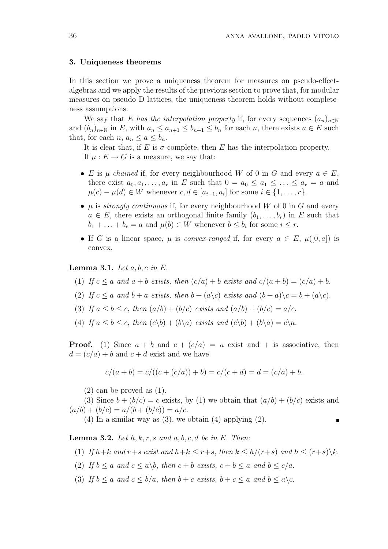### 3. Uniqueness theorems

In this section we prove a uniqueness theorem for measures on pseudo-effectalgebras and we apply the results of the previous section to prove that, for modular measures on pseudo D-lattices, the uniqueness theorem holds without completeness assumptions.

We say that E has the interpolation property if, for every sequences  $(a_n)_{n\in\mathbb{N}}$ and  $(b_n)_{n\in\mathbb{N}}$  in E, with  $a_n \le a_{n+1} \le b_{n+1} \le b_n$  for each n, there exists  $a \in E$  such that, for each  $n, a_n \leq a \leq b_n$ .

It is clear that, if E is  $\sigma$ -complete, then E has the interpolation property. If  $\mu : E \to G$  is a measure, we say that:

- E is  $\mu$ -chained if, for every neighbourhood W of 0 in G and every  $a \in E$ , there exist  $a_0, a_1, \ldots, a_r$  in E such that  $0 = a_0 \le a_1 \le \ldots \le a_r = a$  and  $\mu(c) - \mu(d) \in W$  whenever  $c, d \in [a_{i-1}, a_i]$  for some  $i \in \{1, \ldots, r\}.$
- $\mu$  is *strongly continuous* if, for every neighbourhood W of 0 in G and every  $a \in E$ , there exists an orthogonal finite family  $(b_1, \ldots, b_r)$  in E such that  $b_1 + \ldots + b_r = a$  and  $\mu(b) \in W$  whenever  $b \leq b_i$  for some  $i \leq r$ .
- If G is a linear space,  $\mu$  is convex-ranged if, for every  $a \in E$ ,  $\mu([0, a])$  is convex.

Lemma 3.1. Let  $a, b, c$  in  $E$ .

- (1) If  $c \le a$  and  $a + b$  exists, then  $(c/a) + b$  exists and  $c/(a + b) = (c/a) + b$ .
- (2) If  $c \le a$  and  $b + a$  exists, then  $b + (a \backslash c)$  exists and  $(b + a) \backslash c = b + (a \backslash c)$ .
- (3) If  $a \leq b \leq c$ , then  $(a/b) + (b/c)$  exists and  $(a/b) + (b/c) = a/c$ .
- (4) If  $a \leq b \leq c$ , then  $(c\backslash b) + (b\backslash a)$  exists and  $(c\backslash b) + (b\backslash a) = c\backslash a$ .

**Proof.** (1) Since  $a + b$  and  $c + (c/a) = a$  exist and  $+$  is associative, then  $d = (c/a) + b$  and  $c + d$  exist and we have

$$
c/(a+b) = c/((c+(c/a))+b) = c/(c+d) = d = (c/a) + b.
$$

 $(2)$  can be proved as  $(1)$ .

(3) Since  $b + (b/c) = c$  exists, by (1) we obtain that  $(a/b) + (b/c)$  exists and  $(a/b) + (b/c) = a/(b + (b/c)) = a/c.$ 

(4) In a similar way as  $(3)$ , we obtain  $(4)$  applying  $(2)$ .

 $\blacksquare$ 

**Lemma 3.2.** Let  $h, k, r, s$  and  $a, b, c, d$  be in  $E$ . Then:

- (1) If  $h+k$  and  $r+s$  exist and  $h+k \leq r+s$ , then  $k \leq h/(r+s)$  and  $h \leq (r+s)\backslash k$ .
- (2) If  $b \le a$  and  $c \le a \backslash b$ , then  $c + b$  exists,  $c + b \le a$  and  $b \le c/a$ .
- (3) If  $b \le a$  and  $c \le b/a$ , then  $b+c$  exists,  $b+c \le a$  and  $b \le a \setminus c$ .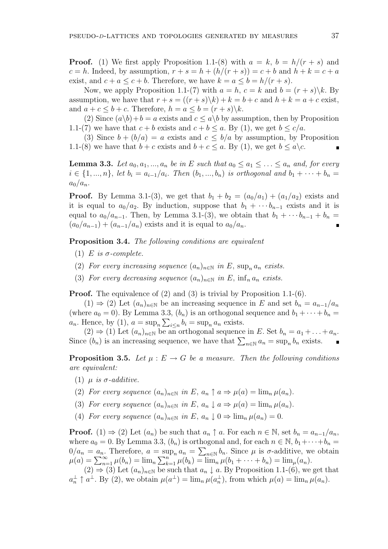**Proof.** (1) We first apply Proposition 1.1-(8) with  $a = k$ ,  $b = h/(r + s)$  and  $c = h$ . Indeed, by assumption,  $r + s = h + (h/(r + s)) = c + b$  and  $h + k = c + a$ exist, and  $c + a \leq c + b$ . Therefore, we have  $k = a \leq b = h/(r + s)$ .

Now, we apply Proposition 1.1-(7) with  $a = h, c = k$  and  $b = (r + s) \backslash k$ . By assumption, we have that  $r + s = ((r + s)\kappa) + k = b + c$  and  $h + k = a + c$  exist, and  $a + c \leq b + c$ . Therefore,  $h = a \leq b = (r + s) \backslash k$ .

(2) Since  $(a\backslash b)+b=a$  exists and  $c \leq a\backslash b$  by assumption, then by Proposition 1.1-(7) we have that  $c + b$  exists and  $c + b \le a$ . By (1), we get  $b \le c/a$ .

(3) Since  $b + (b/a) = a$  exists and  $c \leq b/a$  by assumption, by Proposition 1.1-(8) we have that  $b + c$  exists and  $b + c \le a$ . By (1), we get  $b \le a \setminus c$ .

**Lemma 3.3.** Let  $a_0, a_1, ..., a_n$  be in E such that  $a_0 \le a_1 \le ... \le a_n$  and, for every  $i \in \{1, ..., n\}$ , let  $b_i = a_{i-1}/a_i$ . Then  $(b_1, ..., b_n)$  is orthogonal and  $b_1 + \cdots + b_n =$  $a_0/a_n$ .

**Proof.** By Lemma 3.1-(3), we get that  $b_1 + b_2 = (a_0/a_1) + (a_1/a_2)$  exists and it is equal to  $a_0/a_2$ . By induction, suppose that  $b_1 + \cdots + b_{n-1}$  exists and it is equal to  $a_0/a_{n-1}$ . Then, by Lemma 3.1-(3), we obtain that  $b_1 + \cdots b_{n-1} + b_n =$  $(a_0/a_{n-1}) + (a_{n-1}/a_n)$  exists and it is equal to  $a_0/a_n$ .

Proposition 3.4. The following conditions are equivalent

- (1) E is  $\sigma$ -complete.
- (2) For every increasing sequence  $(a_n)_{n\in\mathbb{N}}$  in E, sup<sub>n</sub>  $a_n$  exists.
- (3) For every decreasing sequence  $(a_n)_{n\in\mathbb{N}}$  in E,  $\inf_n a_n$  exists.

**Proof.** The equivalence of (2) and (3) is trivial by Proposition 1.1-(6).

 $(1) \Rightarrow (2)$  Let  $(a_n)_{n \in \mathbb{N}}$  be an increasing sequence in E and set  $b_n = a_{n-1}/a_n$ (where  $a_0 = 0$ ). By Lemma 3.3,  $(b_n)$  is an orthogonal sequence and  $b_1 + \cdots + b_n =$  $a_n$ . Hence, by (1),  $a = \sup_n \sum_{i \le n} b_i = \sup_n a_n$  exists.

 $(2) \Rightarrow (1)$  Let  $(a_n)_{n \in \mathbb{N}}$  be an orthogonal sequence in E. Set  $b_n = a_1 + \ldots + a_n$ .  $(2) \Rightarrow (1)$  Let  $(a_n)_{n \in \mathbb{N}}$  be an orthogonal sequence in *E*. Set  $o_n = a_1 + ...$ <br>Since  $(b_n)$  is an increasing sequence, we have that  $\sum_{n \in \mathbb{N}} a_n = \sup_n b_n$  exists.

**Proposition 3.5.** Let  $\mu : E \to G$  be a measure. Then the following conditions are equivalent:

- (1)  $\mu$  is  $\sigma$ -additive.
- (2) For every sequence  $(a_n)_{n\in\mathbb{N}}$  in E,  $a_n \uparrow a \Rightarrow \mu(a) = \lim_n \mu(a_n)$ .
- (3) For every sequence  $(a_n)_{n\in\mathbb{N}}$  in E,  $a_n \downarrow a \Rightarrow \mu(a) = \lim_n \mu(a_n)$ .
- (4) For every sequence  $(a_n)_{n\in\mathbb{N}}$  in E,  $a_n \downarrow 0 \Rightarrow \lim_n \mu(a_n) = 0$ .

**Proof.** (1)  $\Rightarrow$  (2) Let  $(a_n)$  be such that  $a_n \uparrow a$ . For each  $n \in \mathbb{N}$ , set  $b_n = a_{n-1}/a_n$ , where  $a_0 = 0$ . By Lemma 3.3,  $(b_n)$  is orthogonal and, for each  $n \in \mathbb{N}$ ,  $b_1 + \cdots + b_n =$  $0/a_n = a_n$ . Therefore,  $a = \sup_n a_n = \sum_{n \in \mathbb{N}} b_n$ . Since  $\mu$  is  $\sigma$ -additive, we obtain  $\mu(a) = \sum_{n=1}^{\infty} \mu(b_n) = \lim_n \sum_{k=1}^n \mu(b_k) = \lim_n \mu(b_1 + \cdots + b_n) = \lim_{\mu(a_n)}$ .  $\sum_{n=1}^{\infty}$  $\lim_{k=1}^n \mu(b_k) = \lim_n \mu(b_1 + \cdots + b_n) = \lim_n (a_n).$ 

 $(2) \Rightarrow (3)$  Let  $(a_n)_{n \in \mathbb{N}}$  be such that  $a_n \downarrow a$ . By Proposition 1.1-(6), we get that  $a_n^{\perp} \uparrow a^{\perp}$ . By (2), we obtain  $\mu(a^{\perp}) = \lim_n \mu(a_n^{\perp})$ , from which  $\mu(a) = \lim_n \mu(a_n)$ .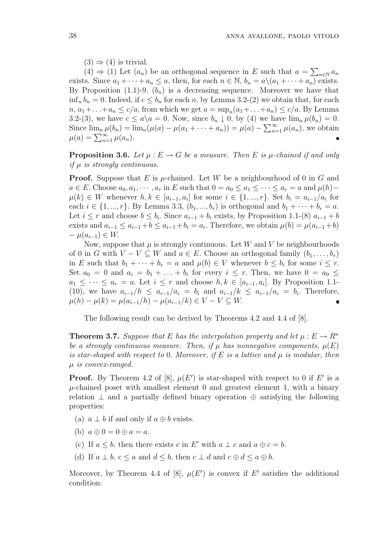$(3) \Rightarrow (4)$  is trivial.

 $(4) \Rightarrow (1)$  Let  $(a_n)$  be an orthogonal sequence in E such that  $a =$  $\overline{ }$  $n \in \mathbb{N}$   $a_n$ exists. Since  $a_1 + \cdots + a_n \le a$ , then, for each  $n \in \mathbb{N}$ ,  $b_n = a \setminus (a_1 + \cdots + a_n)$  exists. By Proposition (1.1)-9,  $(b_n)$  is a decreasing sequence. Moreover we have that  $\inf_n b_n = 0.$  Indeed, if  $c \leq b_n$  for each n, by Lemma 3.2-(2) we obtain that, for each  $n, a_1 + \ldots + a_n \le c/a$ , from which we get  $a = \sup_n(a_1 + \ldots + a_n) \le c/a$ . By Lemma 3.2-(3), we have  $c \leq a \backslash a = 0$ . Now, since  $b_n \downarrow 0$ , by (4) we have  $\lim_n \mu(b_n) = 0$ . Since  $\lim_{n} \mu(b_n) = \lim_{n} (\mu(a) - \mu(a_1 + \cdots + a_n)) = \mu(a) - \sum_{n=1}^{\infty}$  $\sum_{n=1}^{\infty} \mu(a_n)$ , we obtain since  $\lim_{n} \mu(o_n) = 1$ <br>  $\mu(a) = \sum_{n=1}^{\infty} \mu(a_n)$ .

**Proposition 3.6.** Let  $\mu : E \to G$  be a measure. Then E is  $\mu$ -chained if and only if  $\mu$  is strongly continuous.

**Proof.** Suppose that E is  $\mu$ -chained. Let W be a neighbourhood of 0 in G and  $a \in E$ . Choose  $a_0, a_1, \dots, a_r$  in E such that  $0 = a_0 \le a_1 \le \dots \le a_r = a$  and  $\mu(h)$  $\mu(k) \in W$  whenever  $h, k \in [a_{i-1}, a_i]$  for some  $i \in \{1, ..., r\}$ . Set  $b_i = a_{i-1}/a_i$  for each  $i \in \{1, ..., r\}$ . By Lemma 3.3,  $(b_1, ..., b_r)$  is orthogonal and  $b_1 + \cdots + b_r = a$ . Let  $i \leq r$  and choose  $b \leq b_i$ . Since  $a_{i-1} + b_i$  exists, by Proposition 1.1-(8)  $a_{i-1} + b_i$ exists and  $a_{i-1} \le a_{i-1} + b \le a_{i-1} + b_i = a_i$ . Therefore, we obtain  $\mu(b) = \mu(a_{i-1} + b)$  $- \mu(a_{i-1}) \in W$ .

Now, suppose that  $\mu$  is strongly continuous. Let W and V be neighbourhoods of 0 in G with  $V - V \subseteq W$  and  $a \in E$ . Choose an orthogonal family  $(b_1, \ldots, b_r)$ in E such that  $b_1 + \cdots + b_r = a$  and  $\mu(b) \in V$  whenever  $b \leq b_i$  for some  $i \leq r$ . Set  $a_0 = 0$  and  $a_i = b_1 + \ldots + b_i$  for every  $i \leq r$ . Then, we have  $0 = a_0 \leq$  $a_1 \leq \cdots \leq a_r = a$ . Let  $i \leq r$  and choose  $h, k \in [a_{i-1}, a_i]$ . By Proposition 1.1-(10), we have  $a_{i-1}/h \le a_{i-1}/a_i = b_i$  and  $a_{i-1}/k \le a_{i-1}/a_i = b_i$ . Therefore,  $\mu(h) - \mu(k) = \mu(a_{i-1}/h) - \mu(a_{i-1}/k) \in V - V \subseteq W$ .

The following result can be derived by Theorems 4.2 and 4.4 of [8].

**Theorem 3.7.** Suppose that E has the interpolation property and let  $\mu : E \to \mathbb{R}^n$ be a strongly continuous measure. Then, if  $\mu$  has nonnegative components,  $\mu(E)$ is star-shaped with respect to 0. Moreover, if E is a lattice and  $\mu$  is modular, then  $\mu$  is convex-ranged.

**Proof.** By Theorem 4.2 of [8],  $\mu(E')$  is star-shaped with respect to 0 if E' is a  $\mu$ -chained poset with smallest element 0 and greatest element 1, with a binary relation  $\perp$  and a partially defined binary operation  $\oplus$  satisfying the following properties:

- (a)  $a \perp b$  if and only if  $a \oplus b$  exists.
- (b)  $a \oplus 0 = 0 \oplus a = a$ .
- (c) If  $a \leq b$ , then there exists c in E' with  $a \perp c$  and  $a \oplus c = b$ .
- (d) If  $a \perp b, c \le a$  and  $d \le b$ , then  $c \perp d$  and  $c \oplus d \le a \oplus b$ .

Moreover, by Theorem 4.4 of [8],  $\mu(E')$  is convex if E' satisfies the additional condition: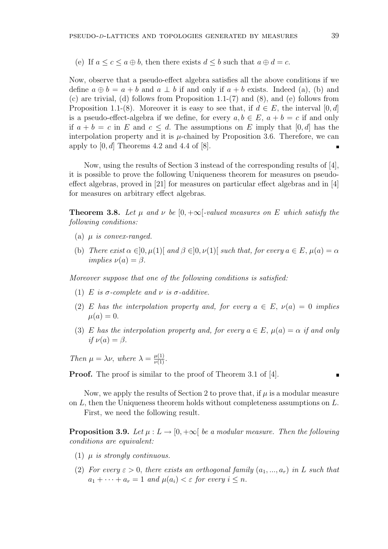(e) If  $a \leq c \leq a \oplus b$ , then there exists  $d \leq b$  such that  $a \oplus d = c$ .

Now, observe that a pseudo-effect algebra satisfies all the above conditions if we define  $a \oplus b = a + b$  and  $a \perp b$  if and only if  $a + b$  exists. Indeed (a), (b) and (c) are trivial, (d) follows from Proposition 1.1-(7) and (8), and (e) follows from Proposition 1.1-(8). Moreover it is easy to see that, if  $d \in E$ , the interval  $[0, d]$ is a pseudo-effect-algebra if we define, for every  $a, b \in E$ ,  $a + b = c$  if and only if  $a + b = c$  in E and  $c \leq d$ . The assumptions on E imply that [0, d] has the interpolation property and it is  $\mu$ -chained by Proposition 3.6. Therefore, we can apply to  $[0, d]$  Theorems 4.2 and 4.4 of  $[8]$ .  $\blacksquare$ 

Now, using the results of Section 3 instead of the corresponding results of [4], it is possible to prove the following Uniqueness theorem for measures on pseudoeffect algebras, proved in [21] for measures on particular effect algebras and in [4] for measures on arbitrary effect algebras.

**Theorem 3.8.** Let  $\mu$  and  $\nu$  be [0, + $\infty$ [-valued measures on E which satisfy the following conditions:

- (a)  $\mu$  is convex-ranged.
- (b) There exist  $\alpha \in ]0, \mu(1)]$  and  $\beta \in ]0, \nu(1)]$  such that, for every  $a \in E$ ,  $\mu(a) = \alpha$ implies  $\nu(a) = \beta$ .

Moreover suppose that one of the following conditions is satisfied:

- (1) E is  $\sigma$ -complete and  $\nu$  is  $\sigma$ -additive.
- (2) E has the interpolation property and, for every  $a \in E$ ,  $\nu(a) = 0$  implies  $\mu(a) = 0.$
- (3) E has the interpolation property and, for every  $a \in E$ ,  $\mu(a) = \alpha$  if and only if  $\nu(a) = \beta$ .

Then  $\mu = \lambda \nu$ , where  $\lambda = \frac{\mu(1)}{\nu(1)}$ .

Proof. The proof is similar to the proof of Theorem 3.1 of [4].

Now, we apply the results of Section 2 to prove that, if  $\mu$  is a modular measure on L, then the Uniqueness theorem holds without completeness assumptions on L.

First, we need the following result.

**Proposition 3.9.** Let  $\mu : L \to [0, +\infty[$  be a modular measure. Then the following conditions are equivalent:

- (1)  $\mu$  is strongly continuous.
- (2) For every  $\varepsilon > 0$ , there exists an orthogonal family  $(a_1, ..., a_r)$  in L such that  $a_1 + \cdots + a_r = 1$  and  $\mu(a_i) < \varepsilon$  for every  $i \leq n$ .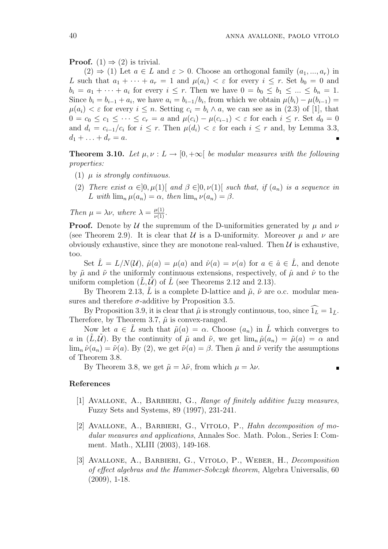**Proof.** (1)  $\Rightarrow$  (2) is trivial.

 $(2) \Rightarrow (1)$  Let  $a \in L$  and  $\varepsilon > 0$ . Choose an orthogonal family  $(a_1, ..., a_r)$  in L such that  $a_1 + \cdots + a_r = 1$  and  $\mu(a_i) < \varepsilon$  for every  $i \leq r$ . Set  $b_0 = 0$  and  $b_i = a_1 + \cdots + a_i$  for every  $i \leq r$ . Then we have  $0 = b_0 \leq b_1 \leq \ldots \leq b_n = 1$ . Since  $b_i = b_{i-1} + a_i$ , we have  $a_i = b_{i-1}/b_i$ , from which we obtain  $\mu(b_i) - \mu(b_{i-1}) =$  $\mu(a_i) < \varepsilon$  for every  $i \leq n$ . Setting  $c_i = b_i \wedge a$ , we can see as in (2.3) of [1], that  $0 = c_0 \leq c_1 \leq \cdots \leq c_r = a$  and  $\mu(c_i) - \mu(c_{i-1}) < \varepsilon$  for each  $i \leq r$ . Set  $d_0 = 0$ and  $d_i = c_{i-1}/c_i$  for  $i \leq r$ . Then  $\mu(d_i) < \varepsilon$  for each  $i \leq r$  and, by Lemma 3.3,  $d_1 + \ldots + d_r = a.$ 

**Theorem 3.10.** Let  $\mu, \nu : L \to [0, +\infty]$  be modular measures with the following properties:

- (1)  $\mu$  is strongly continuous.
- (2) There exist  $\alpha \in ]0, \mu(1)]$  and  $\beta \in ]0, \nu(1)]$  such that, if  $(a_n)$  is a sequence in L with  $\lim_{n} \mu(a_n) = \alpha$ , then  $\lim_{n} \nu(a_n) = \beta$ .

Then  $\mu = \lambda \nu$ , where  $\lambda = \frac{\mu(1)}{\nu(1)}$ .

**Proof.** Denote by U the supremum of the D-uniformities generated by  $\mu$  and  $\nu$ (see Theorem 2.9). It is clear that  $\mathcal U$  is a D-uniformity. Moreover  $\mu$  and  $\nu$  are obviously exhaustive, since they are monotone real-valued. Then  $\mathcal U$  is exhaustive, too.

Set  $\hat{L} = L/N(\mathcal{U}), \hat{\mu}(a) = \mu(a)$  and  $\hat{\nu}(a) = \nu(a)$  for  $a \in \hat{a} \in \hat{L}$ , and denote by  $\tilde{\mu}$  and  $\tilde{\nu}$  the uniformly continuous extensions, respectively, of  $\hat{\mu}$  and  $\hat{\nu}$  to the uniform completion  $(L, \mathcal{U})$  of L (see Theorems 2.12 and 2.13).

By Theorem 2.13, L is a complete D-lattice and  $\tilde{\mu}$ ,  $\tilde{\nu}$  are o.c. modular measures and therefore  $\sigma$ -additive by Proposition 3.5.

By Proposition 3.9, it is clear that  $\tilde{\mu}$  is strongly continuous, too, since  $\widehat{1_L} = 1_{\tilde{L}}$ . Therefore, by Theorem 3.7,  $\tilde{\mu}$  is convex-ranged.

Now let  $a \in L$  such that  $\tilde{\mu}(a) = \alpha$ . Choose  $(a_n)$  in L<sup>n</sup> which converges to a in  $(L,\mathcal{U})$ . By the continuity of  $\tilde{\mu}$  and  $\tilde{\nu}$ , we get  $\lim_{n\to\infty} \hat{\mu}(a_n) = \tilde{\mu}(a) = \alpha$  and  $\lim_{n} \hat{\nu}(a_n) = \tilde{\nu}(a)$ . By (2), we get  $\tilde{\nu}(a) = \beta$ . Then  $\tilde{\mu}$  and  $\tilde{\nu}$  verify the assumptions of Theorem 3.8.

By Theorem 3.8, we get  $\tilde{\mu} = \lambda \tilde{\nu}$ , from which  $\mu = \lambda \nu$ .

#### References

- [1] AVALLONE, A., BARBIERI, G., Range of finitely additive fuzzy measures, Fuzzy Sets and Systems, 89 (1997), 231-241.
- [2] Avallone, A., Barbieri, G., Vitolo, P., Hahn decomposition of modular measures and applications, Annales Soc. Math. Polon., Series I: Comment. Math., XLIII (2003), 149-168.
- [3] Avallone, A., Barbieri, G., Vitolo, P., Weber, H., Decomposition of effect algebras and the Hammer-Sobczyk theorem, Algebra Universalis, 60 (2009), 1-18.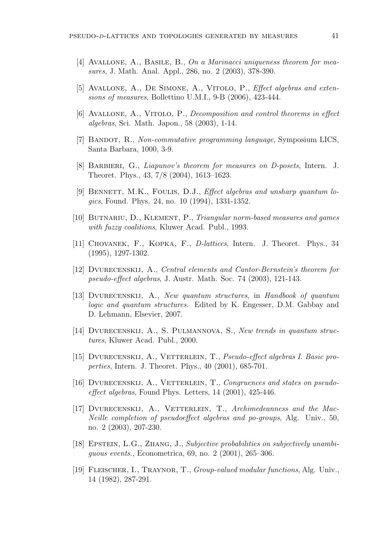- [4] Avallone, A., Basile, B., On a Marinacci uniqueness theorem for measures, J. Math. Anal. Appl., 286, no. 2 (2003), 378-390.
- [5] Avallone, A., De Simone, A., Vitolo, P., Effect algebras and extensions of measures, Bollettino U.M.I., 9-B (2006), 423-444.
- [6] Avallone, A., Vitolo, P., Decomposition and control theorems in effect algebras, Sci. Math. Japon., 58 (2003), 1-14.
- [7] BANDOT, R., Non-commutative programming language, Symposium LICS, Santa Barbara, 1000, 3-9.
- [8] Barbieri, G., Liapunov's theorem for measures on D-posets, Intern. J. Theoret. Phys., 43, 7/8 (2004), 1613–1623.
- [9] BENNETT, M.K., FOULIS, D.J., *Effect algebras and unsharp quantum lo*gics, Found. Phys. 24, no. 10 (1994), 1331-1352.
- [10] Butnariu, D., Klement, P., Triangular norm-based measures and games with fuzzy coalitions, Kluwer Acad. Publ., 1993.
- [11] Chovanek, F., Kopka, F., D-lattices, Intern. J. Theoret. Phys., 34 (1995), 1297-1302.
- [12] Dvurecenskij, A., Central elements and Cantor-Bernstein's theorem for pseudo-effect algebras, J. Austr. Math. Soc. 74 (2003), 121-143.
- [13] Dvurecenskij, A., New quantum structures, in Handbook of quantum logic and quantum structures. Edited by K. Engesser, D.M. Gabbay and D. Lehmann, Elsevier, 2007.
- [14] DVURECENSKIJ, A., S. PULMANNOVA, S., New trends in quantum structures, Kluwer Acad. Publ., 2000.
- [15] Dvurecenskij, A., Vetterlein, T., Pseudo-effect algebras I. Basic properties, Intern. J. Theoret. Phys., 40 (2001), 685-701.
- [16] DVURECENSKIJ, A., VETTERLEIN, T., Congruences and states on pseudoeffect algebras, Found Phys. Letters, 14 (2001), 425-446.
- [17] Dvurecenskij, A., Vetterlein, T., Archimedeanness and the Mac-Neille completion of pseudoeffect algebras and po-groups, Alg. Univ., 50, no. 2 (2003), 207-230.
- [18] Epstein, L.G., Zhang, J., Subjective probabilities on subjectively unambiguous events., Econometrica, 69, no. 2 (2001), 265–306.
- [19] Fleischer, I., Traynor, T., Group-valued modular functions, Alg. Univ., 14 (1982), 287-291.